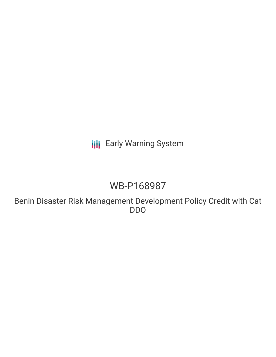**III** Early Warning System

# WB-P168987

Benin Disaster Risk Management Development Policy Credit with Cat DDO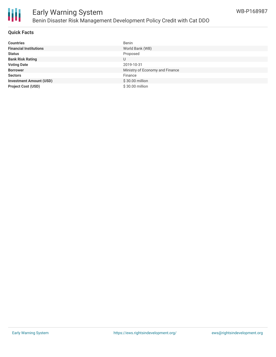

#### **Quick Facts**

| <b>Countries</b>               | Benin                           |
|--------------------------------|---------------------------------|
| <b>Financial Institutions</b>  | World Bank (WB)                 |
| <b>Status</b>                  | Proposed                        |
| <b>Bank Risk Rating</b>        | U                               |
| <b>Voting Date</b>             | 2019-10-31                      |
| <b>Borrower</b>                | Ministry of Economy and Finance |
| <b>Sectors</b>                 | Finance                         |
| <b>Investment Amount (USD)</b> | \$30.00 million                 |
| <b>Project Cost (USD)</b>      | \$30.00 million                 |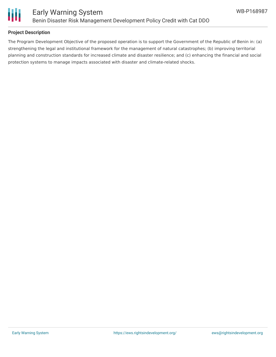

#### **Project Description**

The Program Development Objective of the proposed operation is to support the Government of the Republic of Benin in: (a) strengthening the legal and institutional framework for the management of natural catastrophes; (b) improving territorial planning and construction standards for increased climate and disaster resilience; and (c) enhancing the financial and social protection systems to manage impacts associated with disaster and climate-related shocks.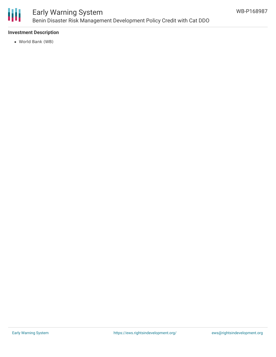

### Early Warning System Benin Disaster Risk Management Development Policy Credit with Cat DDO

#### **Investment Description**

World Bank (WB)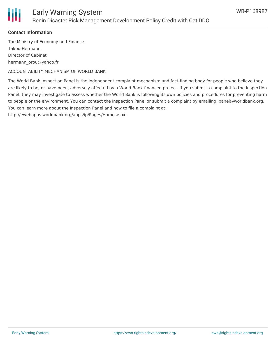



#### **Contact Information**

The Ministry of Economy and Finance Takou Hermann Director of Cabinet hermann\_orou@yahoo.fr

ACCOUNTABILITY MECHANISM OF WORLD BANK

The World Bank Inspection Panel is the independent complaint mechanism and fact-finding body for people who believe they are likely to be, or have been, adversely affected by a World Bank-financed project. If you submit a complaint to the Inspection Panel, they may investigate to assess whether the World Bank is following its own policies and procedures for preventing harm to people or the environment. You can contact the Inspection Panel or submit a complaint by emailing ipanel@worldbank.org. You can learn more about the Inspection Panel and how to file a complaint at:

http://ewebapps.worldbank.org/apps/ip/Pages/Home.aspx.